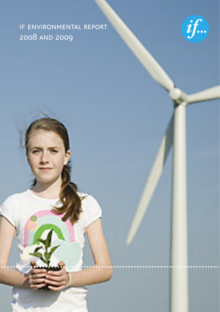# if environmental report 2008 and 2009

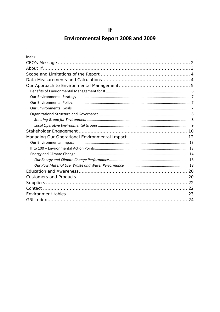## **Environmental Report 2008 and 2009**

| <b>Index</b> |  |
|--------------|--|
|              |  |
|              |  |
|              |  |
|              |  |
|              |  |
|              |  |
|              |  |
|              |  |
|              |  |
|              |  |
|              |  |
|              |  |
|              |  |
|              |  |
|              |  |
|              |  |
|              |  |
|              |  |
|              |  |
|              |  |
|              |  |
|              |  |
|              |  |
|              |  |
|              |  |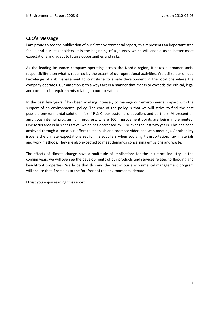## <span id="page-2-0"></span>**CEO's Message**

I am proud to see the publication of our first environmental report, this represents an important step for us and our stakeholders. It is the beginning of a journey which will enable us to better meet expectations and adapt to future opportunities and risks.

As the leading insurance company operating across the Nordic region, If takes a broader social responsibility then what is required by the extent of our operational activities. We utilize our unique knowledge of risk management to contribute to a safe development in the locations where the company operates. Our ambition is to always act in a manner that meets or exceeds the ethical, legal and commercial requirements relating to our operations.

In the past few years If has been working intensely to manage our environmental impact with the support of an environmental policy. The core of the policy is that we will strive to find the best possible environmental solution ‐ for If P & C, our customers, suppliers and partners. At present an ambitious internal program is in progress, where 100 improvement points are being implemented. One focus area is business travel which has decreased by 35% over the last two years. This has been achieved through a conscious effort to establish and promote video and web meetings. Another key issue is the climate expectations set for If's suppliers when sourcing transportation, raw materials and work methods. They are also expected to meet demands concerning emissions and waste.

The effects of climate change have a multitude of implications for the insurance industry. In the coming years we will oversee the developments of our products and services related to flooding and beachfront properties. We hope that this and the rest of our environmental management program will ensure that If remains at the forefront of the environmental debate.

I trust you enjoy reading this report.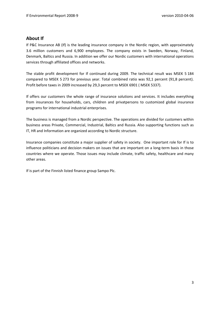## <span id="page-3-0"></span>**About If**

If P&C Insurance AB (If) is the leading insurance company in the Nordic region, with approximately 3.6 million customers and 6,900 employees. The company exists in Sweden, Norway, Finland, Denmark, Baltics and Russia. In addition we offer our Nordic customers with international operations services through affiliated offices and networks.

The stable profit development for If continued during 2009. The technical result was MSEK 5 184 compared to MSEK 5 273 for previous year. Total combined ratio was 92,1 percent (91,8 percent). Profit before taxes in 2009 increased by 29,3 percent to MSEK 6901 ( MSEK 5337).

If offers our customers the whole range of insurance solutions and services. It includes everything from insurances for households, cars, children and privatpersons to customized global insurance programs for international industrial enterprises.

The business is managed from a Nordic perspective. The operations are divided for customers within business areas Private, Commercial, Industrial, Baltics and Russia. Also supporting functions such as IT, HR and Information are organized according to Nordic structure.

Insurance companies constitute a major supplier of safety in society. One important role for If is to influence politicians and decision makers on issues that are important on a long-term basis in those countries where we operate. Those issues may include climate, traffic safety, healthcare and many other areas.

If is part of the Finnish listed finance group Sampo Plc.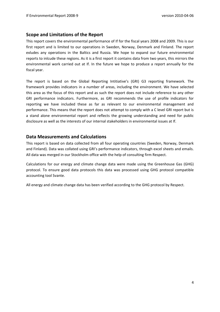## <span id="page-4-0"></span>**Scope and Limitations of the Report**

This report covers the environmental performance of If for the fiscal years 2008 and 2009. This is our first report and is limited to our operations in Sweden, Norway, Denmark and Finland. The report exludes any operations in the Baltics and Russia. We hope to expand our future environmental reports to inlcude these regions. As it is a first report it contains data from two years, this mirrors the environmental work carried out at If. In the future we hope to produce a report annually for the fiscal year.

The report is based on the Global Reporting Intitiative's (GRI) G3 reporting framework. The framework provides indicators in a number of areas, including the environment. We have selected this area as the focus of this report and as such the report does not include reference to any other GRI performance indicators. Furthermore, as GRI recommends the use of profile indicators for reporting we have included these as far as relevant to our environmental management and performance. This means that the report does not attempt to comply with a C level GRI report but is a stand alone environmental report and reflects the growing understanding and need for public disclosure as well as the interests of our internal stakeholders in environmental issues at If.

## **Data Measurements and Calculations**

This report is based on data collected from all four operating countries (Sweden, Norway, Denmark and Finland). Data was collated using GRI's performance indicators, through excel sheets and emails. All data was merged in our Stockholm office with the help of consulting firm Respect.

Calculations for our energy and climate change data were made using the Greenhouse Gas (GHG) protocol. To ensure good data protocols this data was processed using GHG protocol compatible accounting tool Svante.

All energy and climate change data has been verified according to the GHG protocol by Respect.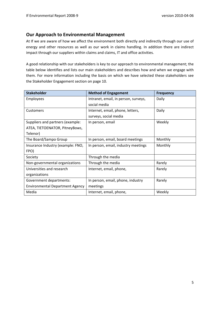## <span id="page-5-0"></span>**Our Approach to Environmental Management**

At If we are aware of how we affect the environment both directly and indirectly through our use of energy and other resources as well as our work in claims handling. In addition there are indirect impact through our suppliers within claims and claims, IT and office activities.

A good relationship with our stakeholders is key to our approach to environmental management; the table below identifies and lists our main stakeholders and describes how and when we engage with them. For more information including the basis on which we have selected these stakeholders see the Stakeholder Engagement section on page 10.

| <b>Stakeholder</b>                     | <b>Method of Engagement</b>          | <b>Frequency</b> |
|----------------------------------------|--------------------------------------|------------------|
| <b>Employees</b>                       | Intranet, email, in person, surveys, | Daily            |
|                                        | social media                         |                  |
| <b>Customers</b>                       | Internet, email, phone, letters,     | Daily            |
|                                        | surveys, social media                |                  |
| Suppliers and partners (example:       | In person, email                     | Weekly           |
| ATEA, TIETOENATOR, PitneyBows,         |                                      |                  |
| Telenor)                               |                                      |                  |
| The Board/Sampo Group                  | In person, email, board meetings     | Monthly          |
| Insurance Industry (example: FNO,      | In person, email, industry meetings  | Monthly          |
| FPO)                                   |                                      |                  |
| Society                                | Through the media                    |                  |
| Non-governmental organizations         | Through the media                    | Rarely           |
| Universities and research              | Internet, email, phone,              | Rarely           |
| organizations                          |                                      |                  |
| Government departments:                | In person, email, phone, industry    | Rarely           |
| <b>Environmental Department Agency</b> | meetings                             |                  |
| Media                                  | Internet, email, phone,              | Weekly           |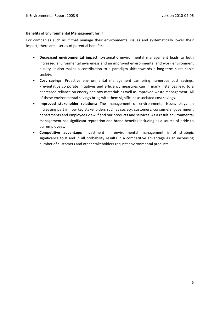#### <span id="page-6-0"></span>**Benefits of Environmental Management for If**

For companies such as If that manage their environmental issues and systematically lower their impact, there are a series of potential benefits:

- **Decreased environmental impact:** systematic environmental management leads to both increased environmental awareness and an improved environmental and work environment quality. It also makes a contribution to a paradigm shift towards a long‐term sustainable society.
- **Cost savings:** Proactive environmental management can bring numerous cost savings. Preventative corporate initiatives and efficiency measures can in many instances lead to a decreased reliance on energy and raw materials as well as improved waste management. All of these environmental savings bring with them significant associated cost savings.
- **Improved stakeholder relations:** The management of environmental issues plays an increasing part in how key stakeholders such as society, customers, consumers, government departments and employees view If and our products and services. As a result environmental management has significant reputation and brand benefits including as a source of pride to our employees.
- **Competitive advantage:** Investment in environmental management is of strategic significance to If and in all probability results in a competitive advantage as an increasing number of customers and other stakeholders request environmental products.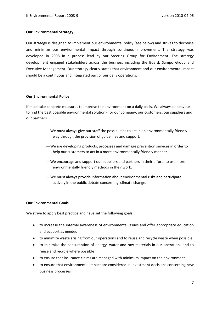#### <span id="page-7-0"></span>**Our Environmental Strategy**

Our strategy is designed to implement our environmental policy (see below) and strives to decrease and minimize our environmental impact through continous improvement. The strategy was developed in 2008 in a process lead by our Steering Group for Environment. The strategy development engaged stakeholders across the business including the Board, Sampo Group and Executive Management. Our strategy clearly states that environment and our environmental impact should be a continuous and integrated part of our daily operations.

#### **Our Environmental Policy**

If must take concrete measures to improve the environment on a daily basis. We always endeavour to find the best possible environmental solution ‐ for our company, our customers, our suppliers and our partners.

- —We must always give our staff the possibilities to act in an environmentally friendly way through the provision of guidelines and support.
- —We are developing products, processes and damage prevention services in order to help our customers to act in a more environmentally friendly manner.
- —We encourage and support our suppliers and partners in their efforts to use more environmentally friendly methods in their work.
- —We must always provide information about environmental risks and participate actively in the public debate concerning climate change.

#### **Our Environmental Goals**

We strive to apply best practice and have set the following goals:

- to increase the internal awareness of environmental issues and offer appropriate education and support as needed
- to minimize waste arising from our operations and to reuse and recycle waste when possible
- to minimize the consumption of energy, water and raw materials in our operations and to reuse and recycle where possible
- to ensure that insurance claims are managed with minimum impact on the environment
- to ensure that environmental impact are considered in investment decisions concerning new business processes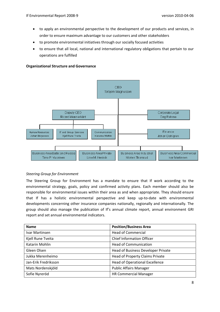- <span id="page-8-0"></span>• to apply an environmental perspective to the development of our products and services, in order to ensure maximum advantage to our customers and other stakeholders
- to promote environmental initiatives through our socially focused activities
- to ensure that all local, national and international regulatory obligations that pertain to our operations are fulfilled

#### **Organizational Structure and Governance**



#### *Steering Group for Environment*

The Steering Group for Environment has a mandate to ensure that If work according to the environmental strategy, goals, policy and confirmed activity plans. Each member should also be responsible for environmental issues within their area as and when appropriate. They should ensure that If has a holistic environmental perspective and keep up‐to‐date with environmental developments concerning other insurance companies nationally, regionally and internationally. The group should also manage the publication of If's annual climate report, annual environment GRI report and set annual environmental indicators.

| <b>Name</b>          | <b>Position/Business Area</b>         |
|----------------------|---------------------------------------|
| Ivar Martinsen       | <b>Head of Commercial</b>             |
| Kjell Rune Tveita    | <b>Chief Information Officer</b>      |
| Katarin Mohlin       | <b>Head of Communication</b>          |
| Gleen Olsen          | Head of Business Developer Private    |
| Jukka Merenheimo     | Head of Property Claims Private       |
| Jan-Erik Fredriksson | <b>Head of Operational Excellence</b> |
| Mats Nordenskjöld    | <b>Public Affairs Manager</b>         |
| Sofie Nyreröd        | <b>HR Commercial Manager</b>          |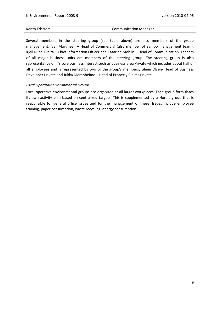<span id="page-9-0"></span>

| Kenth Edström | Communication Manager |
|---------------|-----------------------|

Several members in the steering group (see table above) are also members of the group management; Ivar Martinsen – Head of Commercial (also member of Sampo management team), Kjell Rune Tveita – Chief Information Officer and Katarina Mohlin – Head of Communication. Leaders of all major business units are members of the steering group. The steering group is also representative of If's core business interest such as business area Private which includes about half of all employees and is represented by two of the group's members; Gleen Olsen‐ Head of Business Developer Private and Jukka Merenheimo – Head of Property Claims Private.

#### *Local Operative Environmental Groups*

Local operative environmental groups are organized at all larger workplaces. Each group formulates its own activity plan based on centralized targets. This is supplemented by a Nordic group that is responsible for general office issues and for the management of these. Issues include employee training, paper consumption, waste recycling, energy consumption.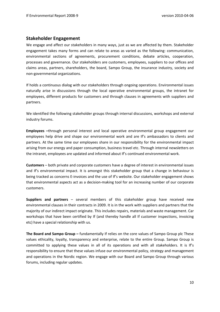### <span id="page-10-0"></span>**Stakeholder Engagement**

We engage and affect our stakeholders in many ways, just as we are affected by them. Stakeholder engagement takes many forms and can relate to areas as varied as the following: communication, environmental sections of agreements, procurement conditions, debate articles, cooperation, processes and governance. Our stakeholders are customers, employees, suppliers to our offices and claims areas, partners, shareholders, the board, Sampo Group, the insurance industry, society and non‐governmental organizations.

If holds a continuous dialog with our stakeholders through ongoing operations. Environmental issues naturally arise in discussions through the local operative environmental groups, the intranet for employees, different products for customers and through clauses in agreements with suppliers and partners.

We identified the following stakeholder groups through internal discussions, workshops and external industry forums.

**Employees –**through personal interest and local operative environmental group engagement our employees help drive and shape our environmental work and are If's ambassadors to clients and partners. At the same time our employees share in our responsibility for the environmental impact arising from our energy and paper consumption, business travel etc. Through internal newsletters on the intranet, employees are updated and informed about If's continued environmental work.

**Customers** – both private and corporate customers have a degree of interest in environmental issues and If's environmental impact. It is amongst this stakeholder group that a change in behaviour is being tracked as concerns E-invoices and the use of If's website. Our stakeholder engagement shows that environmental aspects act as a decision‐making tool for an increasing number of our corporate customers.

**Suppliers and partners** – several members of this stakeholder group have received new environmental clauses in their contracts in 2009. It is in the work with suppliers and partners that the majority of our indirect impact originate. This includes repairs, materials and waste management. Car workshops that have been certified by If (and thereby handle all If customer inspections, invoicing etc) have a special relationship with us.

**The Board and Sampo Group –** fundamentally If relies on the core values of Sampo Group plc These values ethicality, loyalty, transparency and enterprise, relate to the entire Group. Sampo Group is committed to applying these values in all of its operations and with all stakeholders. It is If's responsibility to ensure that these values infuse our environmental policy, strategy and management and operations in the Nordic region. We engage with our Board and Sampo Group through various forums, including regular updates.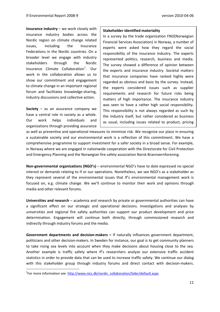**Insurance industry** – we work closely with insurance industry bodies across the Nordic region on climate change related issues, including the Insurance Federations in the Nordic countries. On a broader level we engage with industry stakeholders through the Nordic Insurance Climate Collaboration<sup>[1](#page-11-0)</sup>. Our work in the collaboration allows us to show our commitment and engagement to climate change in an important regional forum and facilitates knowledge‐sharing, industry discussions and collective action.

**Society** – as an assurance company we have a central role in society as a whole. Our work helps individuals and organizations through providing assurance

#### **Stakeholder identified materiality**

In a survey by the trade organization FNO(Norwegian Financial Services Association) in Norway, a number of experts were asked how they regard the social responsibility of the insurance industry. The experts represented politics, research, business and media. The survey showed a difference of opinion between the experts and insurance industry. Societal matters that insurance companies have ranked highly were regarded as obvious and basic by the survey. Instead, the experts considered issues such as supplier requirements and research for future risks being matters of high importance. The insurance industry was seen to have a rather high social responsibility. This responsibility is not always regarded as such by the industry itself, but rather considered as business as usual, including issues related to product, pricing

as well as preventive and operational measures to minimize risk. We recognize our place in ensuring a sustainable society and our environmental work is a reflection of this commitment. We have a comprehensive programme to support investment for a safer society in a broad sense. For example, in Norway where we are engaged in nationwide cooperation with the Directorate for Civil Protection and Emergency Planning and the Norwegian fire safety association Norsk Brannvernforening.

**Non‐governmental organizations (NGO's)** – environmental NGO's have to date expressed no special interest or demands relating to If or our operations. Nonetheless, we see NGO's as a stakeholder as they represent several of the environmental issues that If's environmental management work is focused on, e.g. climate change. We we'll continue to monitor their work and opinions through media and other relevant forums.

**Universities and research** – academia and research by private or governmental authorities can have a significant effect on our strategic and operational decisions. Investigations and analyses by universities and regional fire safety authorities can support our product development and price determination. Engagement will continue both directly, through commissioned research and indirectly through industry forums and the media.

**Government departments and decision‐makers –** If naturally influences government department, politicians and other decision-makers. In Sweden for instance, our goal is to get community planners to take rising sea levels into account when they make decisions about housing close to the sea. Another example is traffic safety where If's researchers analyze our extensive traffic accident statistics in order to provide data that can be used to increase traffic safety. We continue our dialog with this stakeholder group through industry forums and direct contact with decision-makers.

<span id="page-11-0"></span><sup>&</sup>lt;sup>1</sup>For more information see [http://www.nicc.dk/nordic\\_collaboration/Sider/default.aspx](http://www.nicc.dk/nordic_collaboration/Sider/default.aspx)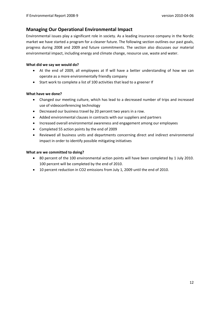## <span id="page-12-0"></span>**Managing Our Operational Environmental Impact**

Environmental issues play a significant role in society. As a leading insurance company in the Nordic market we have started a program for a cleaner future. The following section outlines our past goals, progress during 2008 and 2009 and future commitments. The section also discusses our material environmental impact, including energy and climate change, resource use, waste and water.

#### **What did we say we would do?**

- At the end of 2009, all employees at If will have a better understanding of how we can operate as a more environmentally friendly company
- Start work to complete a list of 100 activities that lead to a greener If

#### **What have we done?**

- Changed our meeting culture, which has lead to a decreased number of trips and increased use of videoconferencing technology
- Decreased our business travel by 20 percent two years in a row.
- Added environmental clauses in contracts with our suppliers and partners
- Increased overall environmental awareness and engagement among our employees
- Completed 55 action points by the end of 2009
- Reviewed all business units and departments concerning direct and indirect environmental impact in order to identify possible mitigating initiatives

#### **What are we committed to doing?**

- 80 percent of the 100 environmental action points will have been completed by 1 July 2010. 100 percent will be completed by the end of 2010.
- 10 percent reduction in CO2 emissions from July 1, 2009 until the end of 2010.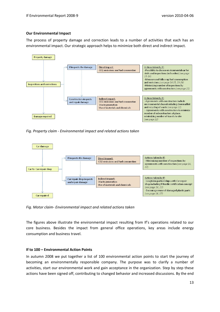#### <span id="page-13-0"></span>**Our Environmental Impact**

The process of property damage and correction leads to a number of activities that each has an environmental impact. Our strategic approach helps to minimize both direct and indirect impact.



*Fig. Property claim ‐ Environmental impact and related actions taken* 



*Fig. Motor claim‐ Environmental impact and related actions taken* 

The figures above illustrate the environmental impact resulting from If's operations related to our core business. Besides the impact from general office operations, key areas include energy consumption and business travel.

#### **If to 100 – Environmental Action Points**

In autumn 2008 we put together a list of 100 environmental action points to start the journey of becoming an environmentally responsible company. The purpose was to clarify a number of activities, start our environmental work and gain acceptance in the organization. Step by step these actions have been signed off, contributing to changed behavior and increased discussions. By the end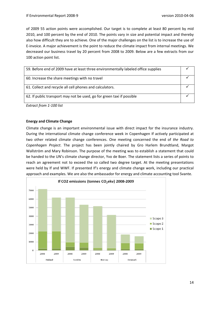<span id="page-14-0"></span>of 2009 55 action points were accomplished. Our target is to complete at least 80 percent by mid 2010, and 100 percent by the end of 2010. The points vary in size and potential impact and thereby also how difficult they are to achieve. One of the major challenges on the list is to increase the use of E‐invoice. A major achievement is the point to reduce the climate impact from internal meetings. We decreased our business travel by 20 percent from 2008 to 2009. Below are a few extracts from our 100 action point list.

| 59. Before end of 2009 have at least three environmentally labeled office supplies |  |
|------------------------------------------------------------------------------------|--|
| 60. Increase the share meetings with no travel                                     |  |
| 61. Collect and recycle all cell phones and calculators.                           |  |
| 62. If public transport may not be used, go for green taxi if possible             |  |

*Extract from 1‐100 list*

#### **Energy and Climate Change**

Climate change is an important environmental issue with direct impact for the insurance industry. During the international climate change conference week in Copenhagen If actively participated at two other related climate change conferences. One meeting concerned the end of *the Road to Copenhagen Project*. The project has been jointly chaired by Gro Harlem Brundtland, Margot Wallström and Mary Robinson. The purpose of the meeting was to establish a statement that could be handed to the UN's climate change director, Yvo de Boer. The statement lists a series of points to reach an agreement not to exceed the so called two degree target. At the meeting presentations were held by If and WWF. If presented If's energy and climate change work, including our practical approach and examples. We are also the ambassador for energy and climate accounting tool Svante.

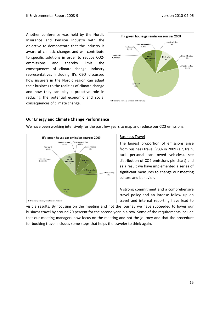<span id="page-15-0"></span>Another conference was held by the Nordic Insurance and Pension Industry with the objective to demonstrate that the industry is aware of climatic changes and will contribute to specific solutions in order to reduce CO2‐ emmissions and thereby limit the consequences of climate change. Industry representatives including If's CEO discussed how insurers in the Nordic region can adapt their business to the realities of climate change and how they can play a proactive role in reducing the potential economic and social consequences of climate change.



#### **Our Energy and Climate Change Performance**

If's green house gas emission sources 2009 **Goods tran Paper consumption**  $0.03%$ 0.27% **Owed vehicles** Taxi travel 0.049 5% Busines<br>travel b **Train travel** 0.000039 Electricity personal c<br>11% **District heat District cooling** Air travel If: Danmark, Finland, Sweden and Norway

We have been working intensively for the past few years to map and reduce our CO2 emissions.

#### Business Travel

The largest proportion of emissions arise from business travel (73% in 2009 (air, train, taxi, personal car, owed vehicles), see distribution of CO2 emissions pie chart) and as a result we have implemented a series of significant measures to change our meeting culture and behavior.

A strong commitment and a comprehensive travel policy and an intense follow up on travel and internal reporting have lead to

visible results. By focusing on the meeting and not the journey we have succeeded to lower our business travel by around 20 percent for the second year in a row. Some of the requirements include that our meeting managers now focus on the meeting and not the journey and that the procedure for booking travel includes some steps that helps the traveler to think again.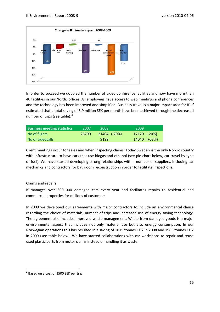

In order to succeed we doubled the number of video conference facilities and now have more than 40 facilities in our Nordic offices. All employees have access to web meetings and phone conferences and the technology has been improved and simplified. Business travel is a major impact area for If. If estimated that a total saving of 3.9 million SEK per month have been achieved through the decreased number of trips (see table). $2$ 

| <b>Business meeting statistics</b> | 2007  | 2008                    | 2009         |
|------------------------------------|-------|-------------------------|--------------|
| No of flights                      | 26790 | $ 21404 \rangle$ (-20%) | 17120 (-20%) |
| No of videocalls                   |       | 9199                    | 14040 (+53%) |

Client meetings occur for sales and when inspecting claims. Today Sweden is the only Nordic country with infrastructure to have cars that use biogas and ethanol (see pie chart below, car travel by type of fuel). We have started developing strong relationships with a number of suppliers, including car mechanics and contractors for bathroom reconstruction in order to facilitate inspections.

#### Claims and repairs

If manages over 300 000 damaged cars every year and facilitates repairs to residential and commercial properties for millions of customers.

In 2009 we developed our agreements with major contractors to include an environmental clause regarding the choice of materials, number of trips and increased use of energy saving technology. The agreement also includes improved waste management. Waste from damaged goods is a major environmental aspect that includes not only material use but also energy consumption. In our Norwegian operations this has resulted in a saving of 1815 tonnes CO2 in 2008 and 1985 tonnes CO2 in 2009 (see table below). We have started collaborations with car workshops to repair and reuse used plastic parts from motor claims instead of handling it as waste.

<span id="page-16-0"></span>  $2$  Based on a cost of 3500 SEK per trip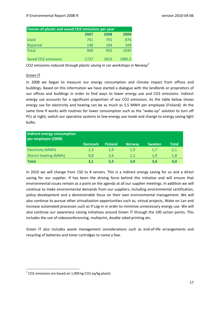| Tonnes of plastic and saved CO2 emissions per year |      |      |        |  |  |  |  |  |  |
|----------------------------------------------------|------|------|--------|--|--|--|--|--|--|
|                                                    | 2007 | 2008 | 2009   |  |  |  |  |  |  |
| <b>Used</b>                                        | 761  | 791  | 876    |  |  |  |  |  |  |
| Repaired                                           | 148  | 164  | 169    |  |  |  |  |  |  |
| <b>Total</b>                                       | 909  | 955  | 1045   |  |  |  |  |  |  |
| Saved CO <sub>2</sub> emissions                    | 1727 | 1815 | 1985,5 |  |  |  |  |  |  |

*CO2 emissions reduced through plastic saving in car workshops in Norway[3](#page-17-0)* 

#### Green IT

In 2008 we began to measure our energy consumption and climate impact from offices and buildings. Based on this information we have started a dialogue with the landlords or proprietors of our offices and buildings in order to find ways to lower energy use and CO2 emissions. Indirect energy use accounts for a significant proportion of our CO2 emissions. As the table below shows energy use for electricity and heating can be as much as 5,5 MWH per employee (Finland). At the same time If works with routines for lower consumption such as the "wake-up" solution to turn off PCs at night, switch our operative systems to low-energy use mode and change to energy saving light bulbs.

| Indirect energy consumption<br>per employee (2008) |                |                |               |               |              |
|----------------------------------------------------|----------------|----------------|---------------|---------------|--------------|
|                                                    | <b>Denmark</b> | <b>Finland</b> | <b>Norway</b> | <b>Sweden</b> | <b>Total</b> |
| Electricity (MWh)                                  | 2,3            | 2,9            | 1,9           | 1,7           | 2,1          |
| District heating (MWh)                             | 0.8            | 2.6            | 1.1           | 1.9           | 1,8          |
| <b>Total</b>                                       | 3,1            | 5,5            | 3.0           | 3.6           | 4.0          |

In 2010 we will change from 150 to 8 servers. This is a indirect energy saving for us and a direct saving for our supplier. If has been the driving force behind this initiative and will ensure that environmental issues remain as a point on the agenda at all our supplier meetings. In addition we will continue to make environmental demands from our suppliers, including environmental certification, policy development and a demonstrable focus on their own environmental management. We will also continue to pursue other virtualization opportunities such as, virtual projects, Wake on Lan and increase automated processes such as If Log-in in order to minimize unnecessary energy use. We will also continue our awareness raising initiatives around Green IT through the 100 action points. This includes the use of videoconferencing, multiprint, double sided printing etc.

Green IT also includes waste management considerations such as end-of-life arrangements and recycling of batteries and toner cartridges to name a few.

<span id="page-17-0"></span> $3$  CO2 emissions are based on 1,900 kg CO2 eq/kg plastic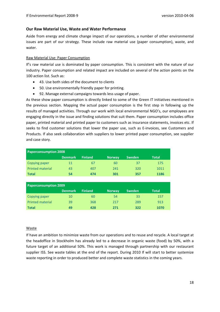#### <span id="page-18-0"></span>**Our Raw Material Use, Waste and Water Performance**

Aside from energy and climate change impact of our operations, a number of other environmental issues are part of our strategy. These include raw material use (paper consumption), waste, and water.

#### Raw Material Use: Paper Consumption

If's raw material use is dominated by paper consumption. This is consistent with the nature of our industry. Paper consumption and related impact are included on several of the action points on the 100 action list. Such as:

- 43. Use both sides of the document to clients
- 50. Use environmentally friendly paper for printing.
- 92. Manage external campaigns towards less usage of paper.

As these show paper consumption is directly linked to some of the Green IT initiatives mentioned in the previous section. Mapping the actual paper consumption is the first step in following up the results of managed activities. Through our work with local environmental NGO's, our employees are engaging directly in the issue and finding solutions that suit them. Paper consumption includes office paper, printed material and printed paper to customers such as insurance statements, invoices etc. If seeks to find customer solutions that lower the paper use, such as E-invoices, see Customers and Products. If also seek collaboration with suppliers to lower printed paper consumption, see supplier and case story.

| <b>Paperconsumption 2008</b> |                |                |               |               |              |  |  |  |  |
|------------------------------|----------------|----------------|---------------|---------------|--------------|--|--|--|--|
|                              | <b>Denmark</b> | <b>Finland</b> | <b>Norway</b> | <b>Sweden</b> | <b>Total</b> |  |  |  |  |
| Copying paper                | 11             | 67             | 60            | 37            | 175          |  |  |  |  |
| <b>Printed material</b>      | 43             | 407            | 241           | 320           | 1011         |  |  |  |  |
| <b>Total</b>                 | 54             | 474            | 301           | 357           | 1186         |  |  |  |  |

| <b>Paperconsumption 2009</b> |                |                |               |               |              |  |  |  |  |
|------------------------------|----------------|----------------|---------------|---------------|--------------|--|--|--|--|
|                              | <b>Denmark</b> | <b>Finland</b> | <b>Norway</b> | <b>Sweden</b> | <b>Total</b> |  |  |  |  |
| Copying paper                | 10             | 60             | 54            | 33            | 157          |  |  |  |  |
| <b>Printed material</b>      | 39             | 368            | 217           | 289           | 913          |  |  |  |  |
| <b>Total</b>                 | 49             | 428            | 271           | 322           | 1070         |  |  |  |  |

#### Waste

If have an ambition to minimize waste from our operations and to reuse and recycle. A local target at the headoffice in Stockholm has already led to a decrease in organic waste (food) by 50%, with a future target of an additional 50%. This work is managed through partnership with our restaurant supplier ISS. See waste tables at the end of the report. During 2010 If will start to better systemize waste reporting in order to produced better and complete waste statistics in the coming years.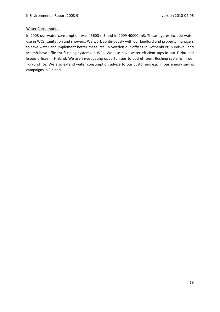#### Water Consumption

In 2008 our water consumption was 45600 m3 and in 2009 40000 m3*.* These figures include water use in WCs, sanitation and showers. We work continuously with our landlord and property managers to save water and implement better measures. In Sweden our offices in Gothenburg, Sundsvall and Malmö have efficient flushing systems in WCs. We also have water efficient taps in our Turku and Espoo offices in Finland. We are investigating opportunities to add efficient flushing systems in our Turku office. We also extend water consumption advice to our customers e.g. in our energy saving campaigns in Finland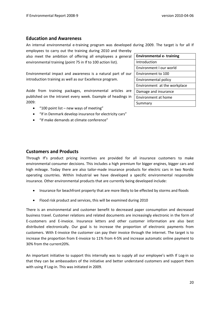## <span id="page-20-0"></span>**Education and Awareness**

An internal environmental e-training program was developed during 2009. The target is for all If employees to carry out the training during 2010 and thereby

also meet the ambition of offering all employees a general environmental training (point 75 in If to 100 action list).

Environmental impact and awareness is a natural part of our introduction training as well as our Excellence program.

Aside from training packages, environmental articles are published on the intranet every week. Example of headings in 2009:

- "100 point list new ways of meeting"
- "If in Denmark develop insurance for electricity cars"
- "If make demands at climate conference"

| <b>Environmental e- training</b> |
|----------------------------------|
| Introduction                     |
| Environment I our world          |
| Environment to 100               |
| Environmental policy             |
| Environment at the workplace     |
| Damage and insurance             |
| Environment at home              |
| Summary                          |

## **Customers and Products**

Through If's product pricing incentives are provided for all insurance customers to make environmental consumer decisions. This includes a high premium for bigger engines, bigger cars and high mileage. Today there are also tailor-made insurance products for electric cars in two Nordic operating countries. Within Industrial we have developed a specific environmental responsible insurance. Other environmental products that are currently being developed include:

- Insurance for beachfront property that are more likely to be effected by storms and floods
- Flood risk product and services, this will be examined during 2010

There is an environmental and customer benefit to decreased paper consumption and decreased business travel. Customer relations and related documents are increasingly electronic in the form of E‐customers and E‐invoice. Insurance letters and other customer information are also best distributed electronically. Our goal is to increase the proportion of electronic payments from customers. With E-invoice the customer can pay their invoice through the internet. The target is to increase the proportion from E‐invoice to 11% from 4‐5% and increase automatic online payment to 30% from the current20%.

An important initiative to support this internally was to supply all our employee's with If Log-in so that they can be ambassadors of the initiative and better understand customers and support them with using If Log-in. This was initiated in 2009.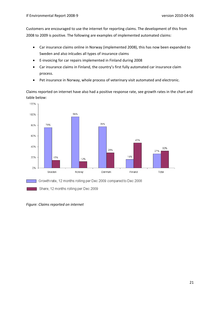Customers are encouraged to use the internet for reporting claims. The development of this from 2008 to 2009 is positive. The following are examples of implemented automated claims:

- Car insurance claims online in Norway (implemented 2008), this has now been expanded to Sweden and also inlcudes all types of insurance claims
- E‐invoicing for car repairs implemented in Finland during 2008
- Car insurance claims in Finland, the country's first fully automated car insurance claim process.
- Pet insurance in Norway, whole process of veterinary visit automated and electronic.

Claims reported on internet have also had a positive response rate, see growth rates in the chart and table below:



*Figure: Claims reported on internet*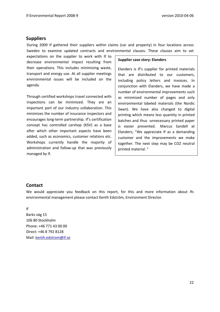#### <span id="page-22-0"></span>**Suppliers**

During 2009 If gathered their suppliers within claims (car and property) in four locations across Sweden to examine updated contracts and environmental clauses. These clauses aim to set

expectations on the supplier to work with If to decrease environmental impact resulting from their operations. This includes minimizing waste, transport and energy use. At all supplier meetings environmental issues will be included on the agenda.

Through certified workshops travel connected with inspections can be minimized. They are an important part of our industry collaboration. This minimizes the number of insurance inspectors and encourages long‐term partnership. If's certification concept has controlled carshop (KSV) as a base after which other important aspects have been added, such as economics, customer relations etc. Workshops currently handle the majority of administration and follow-up that was previously managed by If.

#### **Supplier case story: Elanders**

Elanders is If's supplier for printed materials that are distributed to our customers, including policy letters and invoices. In conjunction with Elanders, we have made a number of environmental improvements such as minimized number of pages and only environmental labeled materials (the Nordic Swan). We have also changed to digital printing which means less quantity in printed batches and thus unnecessary printed paper is easier prevented. Marcus Sandell at Elanders; "We appreciate If as a demanding customer and the improvements we make together. The next step may be CO2 neutral printed material. "

#### **Contact**

We would appreciate you feedback on this report, for this and more information about Ifs environmental management please contact Kenth Edström, Environment Director.

If Barks väg 15 106 80 Stockholm Phone: +46 771 43 00 00 Direct: +46 8 792 8128 Mail: [kenth.edstrom@if.se](mailto:kenth.edstrom@if.se)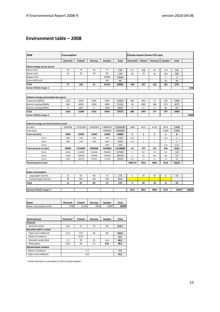## <span id="page-23-0"></span>**Environment table – 2008**

| Finland<br><b>Total</b><br>Finland<br>Norway<br>Denmark<br>Norway<br>Sweden<br><b>Denmark</b><br>Sweden<br>Total<br>Direct energy use by source<br>52<br>74<br>36<br>77<br>Petrol (m3)<br>238<br>117<br>168<br>82<br>174<br>541<br>25<br>32<br>18<br>Diesel (m3)<br>85<br>159<br>63<br>79<br>44<br>213<br>400<br>93500<br>Biogas (m3)<br>93500<br>$\overline{2}$<br>$\overline{2}$<br>Etanol E85 (m3)<br>84<br>84<br>36<br>36<br><b>Total</b><br>77<br>106<br>54<br>93745<br>93981<br>180<br>247<br>126<br>425<br>979<br>tonne CO2ekv Scope 1<br>Indirect energy consumption by source<br>5319<br>3365<br>3597<br>13432<br>126<br>1666<br>Electricity (MWh)<br>1151<br>630<br>894<br>17<br>District heating (MWh)<br>385<br>4939<br>1926<br>4063<br>11313<br>50<br>1087<br>160<br>375<br>1671<br>0<br>District cooling (MWh)<br>840<br>0<br>1990<br>2830<br>0<br>17<br>0<br>46<br>63<br>Total<br>1536<br>11098<br>5291<br>9650<br>27575<br>680<br>1997<br>177<br>547<br>3400<br>tonne CO2ekv Scope 2<br>Indirect energy use from business travel<br>Air (km)<br>3266358<br>13791288<br>13428360<br>14880074<br>45366080<br>1000<br>4221<br>4110<br>4555<br>13886<br>Train (km)<br>1094000<br>1094000<br>0,004<br>0,004<br>15000<br>44000<br>2<br>8<br>Total taxi (km)<br>2000<br>15000<br>12000<br>0<br>з<br>3<br>$\sqrt{2}$<br>$\sqrt{2}$<br>7500<br>7500<br>1200<br>17200<br>0,20<br>0,24<br>3<br>Petrol<br>1000<br>8400<br>$\,1\,$<br>5<br>Diesel<br>1000<br>7500<br>7500<br>24400<br>0,19<br>$\mathbf 1$<br>$\overline{2}$<br>2400<br>2400<br>0,14<br>0,14<br>Etanol<br>Total pesonal car (km)<br>50000<br>3710000<br>3940000<br>3430000<br>11130000<br>10<br>707<br>751<br>654<br>2121<br>445<br>473<br>30000<br>2226000<br>2364000<br>2058000<br>6678000<br>6<br>412<br>1336<br>Petrol<br>17500<br>1298500<br>1379000<br>1200500<br>3895500<br>3<br>251<br>266<br>232<br>752<br>Diesel<br>Etanol<br>2500<br>185500<br>197000<br>171500<br>556500<br>0,15<br>11<br>12<br>10<br>33<br><b>Total business travel</b><br>1009,70<br>4931<br>4864<br>5210<br>16015<br><b>Paper consumption</b><br>3<br>67<br>60<br>37<br>175<br>20<br>18<br>copy paper (tonne)<br>11<br>11<br>53<br>43<br>407<br>241<br>320<br>1011<br>printed paper (tonne)<br>3<br>11<br>67<br>60<br>37<br>175<br>20<br>18<br>11<br>53<br>Total<br>1013<br>4951<br>4882<br>5221<br>16067<br>(tonne) CO2ekv Scope 3<br>Water<br>Denmark<br>Finland<br>Sweden<br>Norway<br>Total<br>2700<br>7816<br>Water consumption (m3)<br>11236<br>23897<br>45649<br>Denmark*<br>Waste (tonne)<br>Finland<br>Norway<br>Sweden<br>Total<br><b>Disposal</b><br>Domestic waste<br>12<br>78<br>98<br>212,5<br>24,5<br>Recycled and/or reused<br>Paper and cardboard<br>123<br>21,5<br>94<br>86<br>324,5<br>Waste IT products<br>0,25<br>0,3<br>Domestic waste (bio)<br>1,7<br>10<br>40,5<br>22<br>6,8<br>Metal, glass<br>0,20<br>26<br>1,3<br>28,3<br>0,81 | 2008 | Consumption |  |  |  |  | Climate impact (tonne CO2 eqv) |  |  |  |       |
|------------------------------------------------------------------------------------------------------------------------------------------------------------------------------------------------------------------------------------------------------------------------------------------------------------------------------------------------------------------------------------------------------------------------------------------------------------------------------------------------------------------------------------------------------------------------------------------------------------------------------------------------------------------------------------------------------------------------------------------------------------------------------------------------------------------------------------------------------------------------------------------------------------------------------------------------------------------------------------------------------------------------------------------------------------------------------------------------------------------------------------------------------------------------------------------------------------------------------------------------------------------------------------------------------------------------------------------------------------------------------------------------------------------------------------------------------------------------------------------------------------------------------------------------------------------------------------------------------------------------------------------------------------------------------------------------------------------------------------------------------------------------------------------------------------------------------------------------------------------------------------------------------------------------------------------------------------------------------------------------------------------------------------------------------------------------------------------------------------------------------------------------------------------------------------------------------------------------------------------------------------------------------------------------------------------------------------------------------------------------------------------------------------------------------------------------------------------------------------------------------------------------------------------------------------------------------------------------------------------------------------------------------------------------------------------------------------------------------------------------------------------------------------------------------------------------------------------------------------------------------------------------------------|------|-------------|--|--|--|--|--------------------------------|--|--|--|-------|
|                                                                                                                                                                                                                                                                                                                                                                                                                                                                                                                                                                                                                                                                                                                                                                                                                                                                                                                                                                                                                                                                                                                                                                                                                                                                                                                                                                                                                                                                                                                                                                                                                                                                                                                                                                                                                                                                                                                                                                                                                                                                                                                                                                                                                                                                                                                                                                                                                                                                                                                                                                                                                                                                                                                                                                                                                                                                                                            |      |             |  |  |  |  |                                |  |  |  |       |
|                                                                                                                                                                                                                                                                                                                                                                                                                                                                                                                                                                                                                                                                                                                                                                                                                                                                                                                                                                                                                                                                                                                                                                                                                                                                                                                                                                                                                                                                                                                                                                                                                                                                                                                                                                                                                                                                                                                                                                                                                                                                                                                                                                                                                                                                                                                                                                                                                                                                                                                                                                                                                                                                                                                                                                                                                                                                                                            |      |             |  |  |  |  |                                |  |  |  |       |
|                                                                                                                                                                                                                                                                                                                                                                                                                                                                                                                                                                                                                                                                                                                                                                                                                                                                                                                                                                                                                                                                                                                                                                                                                                                                                                                                                                                                                                                                                                                                                                                                                                                                                                                                                                                                                                                                                                                                                                                                                                                                                                                                                                                                                                                                                                                                                                                                                                                                                                                                                                                                                                                                                                                                                                                                                                                                                                            |      |             |  |  |  |  |                                |  |  |  |       |
|                                                                                                                                                                                                                                                                                                                                                                                                                                                                                                                                                                                                                                                                                                                                                                                                                                                                                                                                                                                                                                                                                                                                                                                                                                                                                                                                                                                                                                                                                                                                                                                                                                                                                                                                                                                                                                                                                                                                                                                                                                                                                                                                                                                                                                                                                                                                                                                                                                                                                                                                                                                                                                                                                                                                                                                                                                                                                                            |      |             |  |  |  |  |                                |  |  |  |       |
|                                                                                                                                                                                                                                                                                                                                                                                                                                                                                                                                                                                                                                                                                                                                                                                                                                                                                                                                                                                                                                                                                                                                                                                                                                                                                                                                                                                                                                                                                                                                                                                                                                                                                                                                                                                                                                                                                                                                                                                                                                                                                                                                                                                                                                                                                                                                                                                                                                                                                                                                                                                                                                                                                                                                                                                                                                                                                                            |      |             |  |  |  |  |                                |  |  |  |       |
|                                                                                                                                                                                                                                                                                                                                                                                                                                                                                                                                                                                                                                                                                                                                                                                                                                                                                                                                                                                                                                                                                                                                                                                                                                                                                                                                                                                                                                                                                                                                                                                                                                                                                                                                                                                                                                                                                                                                                                                                                                                                                                                                                                                                                                                                                                                                                                                                                                                                                                                                                                                                                                                                                                                                                                                                                                                                                                            |      |             |  |  |  |  |                                |  |  |  |       |
|                                                                                                                                                                                                                                                                                                                                                                                                                                                                                                                                                                                                                                                                                                                                                                                                                                                                                                                                                                                                                                                                                                                                                                                                                                                                                                                                                                                                                                                                                                                                                                                                                                                                                                                                                                                                                                                                                                                                                                                                                                                                                                                                                                                                                                                                                                                                                                                                                                                                                                                                                                                                                                                                                                                                                                                                                                                                                                            |      |             |  |  |  |  |                                |  |  |  |       |
|                                                                                                                                                                                                                                                                                                                                                                                                                                                                                                                                                                                                                                                                                                                                                                                                                                                                                                                                                                                                                                                                                                                                                                                                                                                                                                                                                                                                                                                                                                                                                                                                                                                                                                                                                                                                                                                                                                                                                                                                                                                                                                                                                                                                                                                                                                                                                                                                                                                                                                                                                                                                                                                                                                                                                                                                                                                                                                            |      |             |  |  |  |  |                                |  |  |  | 979   |
|                                                                                                                                                                                                                                                                                                                                                                                                                                                                                                                                                                                                                                                                                                                                                                                                                                                                                                                                                                                                                                                                                                                                                                                                                                                                                                                                                                                                                                                                                                                                                                                                                                                                                                                                                                                                                                                                                                                                                                                                                                                                                                                                                                                                                                                                                                                                                                                                                                                                                                                                                                                                                                                                                                                                                                                                                                                                                                            |      |             |  |  |  |  |                                |  |  |  |       |
|                                                                                                                                                                                                                                                                                                                                                                                                                                                                                                                                                                                                                                                                                                                                                                                                                                                                                                                                                                                                                                                                                                                                                                                                                                                                                                                                                                                                                                                                                                                                                                                                                                                                                                                                                                                                                                                                                                                                                                                                                                                                                                                                                                                                                                                                                                                                                                                                                                                                                                                                                                                                                                                                                                                                                                                                                                                                                                            |      |             |  |  |  |  |                                |  |  |  |       |
|                                                                                                                                                                                                                                                                                                                                                                                                                                                                                                                                                                                                                                                                                                                                                                                                                                                                                                                                                                                                                                                                                                                                                                                                                                                                                                                                                                                                                                                                                                                                                                                                                                                                                                                                                                                                                                                                                                                                                                                                                                                                                                                                                                                                                                                                                                                                                                                                                                                                                                                                                                                                                                                                                                                                                                                                                                                                                                            |      |             |  |  |  |  |                                |  |  |  |       |
|                                                                                                                                                                                                                                                                                                                                                                                                                                                                                                                                                                                                                                                                                                                                                                                                                                                                                                                                                                                                                                                                                                                                                                                                                                                                                                                                                                                                                                                                                                                                                                                                                                                                                                                                                                                                                                                                                                                                                                                                                                                                                                                                                                                                                                                                                                                                                                                                                                                                                                                                                                                                                                                                                                                                                                                                                                                                                                            |      |             |  |  |  |  |                                |  |  |  |       |
|                                                                                                                                                                                                                                                                                                                                                                                                                                                                                                                                                                                                                                                                                                                                                                                                                                                                                                                                                                                                                                                                                                                                                                                                                                                                                                                                                                                                                                                                                                                                                                                                                                                                                                                                                                                                                                                                                                                                                                                                                                                                                                                                                                                                                                                                                                                                                                                                                                                                                                                                                                                                                                                                                                                                                                                                                                                                                                            |      |             |  |  |  |  |                                |  |  |  |       |
|                                                                                                                                                                                                                                                                                                                                                                                                                                                                                                                                                                                                                                                                                                                                                                                                                                                                                                                                                                                                                                                                                                                                                                                                                                                                                                                                                                                                                                                                                                                                                                                                                                                                                                                                                                                                                                                                                                                                                                                                                                                                                                                                                                                                                                                                                                                                                                                                                                                                                                                                                                                                                                                                                                                                                                                                                                                                                                            |      |             |  |  |  |  |                                |  |  |  |       |
|                                                                                                                                                                                                                                                                                                                                                                                                                                                                                                                                                                                                                                                                                                                                                                                                                                                                                                                                                                                                                                                                                                                                                                                                                                                                                                                                                                                                                                                                                                                                                                                                                                                                                                                                                                                                                                                                                                                                                                                                                                                                                                                                                                                                                                                                                                                                                                                                                                                                                                                                                                                                                                                                                                                                                                                                                                                                                                            |      |             |  |  |  |  |                                |  |  |  | 3400  |
|                                                                                                                                                                                                                                                                                                                                                                                                                                                                                                                                                                                                                                                                                                                                                                                                                                                                                                                                                                                                                                                                                                                                                                                                                                                                                                                                                                                                                                                                                                                                                                                                                                                                                                                                                                                                                                                                                                                                                                                                                                                                                                                                                                                                                                                                                                                                                                                                                                                                                                                                                                                                                                                                                                                                                                                                                                                                                                            |      |             |  |  |  |  |                                |  |  |  |       |
|                                                                                                                                                                                                                                                                                                                                                                                                                                                                                                                                                                                                                                                                                                                                                                                                                                                                                                                                                                                                                                                                                                                                                                                                                                                                                                                                                                                                                                                                                                                                                                                                                                                                                                                                                                                                                                                                                                                                                                                                                                                                                                                                                                                                                                                                                                                                                                                                                                                                                                                                                                                                                                                                                                                                                                                                                                                                                                            |      |             |  |  |  |  |                                |  |  |  |       |
|                                                                                                                                                                                                                                                                                                                                                                                                                                                                                                                                                                                                                                                                                                                                                                                                                                                                                                                                                                                                                                                                                                                                                                                                                                                                                                                                                                                                                                                                                                                                                                                                                                                                                                                                                                                                                                                                                                                                                                                                                                                                                                                                                                                                                                                                                                                                                                                                                                                                                                                                                                                                                                                                                                                                                                                                                                                                                                            |      |             |  |  |  |  |                                |  |  |  |       |
|                                                                                                                                                                                                                                                                                                                                                                                                                                                                                                                                                                                                                                                                                                                                                                                                                                                                                                                                                                                                                                                                                                                                                                                                                                                                                                                                                                                                                                                                                                                                                                                                                                                                                                                                                                                                                                                                                                                                                                                                                                                                                                                                                                                                                                                                                                                                                                                                                                                                                                                                                                                                                                                                                                                                                                                                                                                                                                            |      |             |  |  |  |  |                                |  |  |  |       |
|                                                                                                                                                                                                                                                                                                                                                                                                                                                                                                                                                                                                                                                                                                                                                                                                                                                                                                                                                                                                                                                                                                                                                                                                                                                                                                                                                                                                                                                                                                                                                                                                                                                                                                                                                                                                                                                                                                                                                                                                                                                                                                                                                                                                                                                                                                                                                                                                                                                                                                                                                                                                                                                                                                                                                                                                                                                                                                            |      |             |  |  |  |  |                                |  |  |  |       |
|                                                                                                                                                                                                                                                                                                                                                                                                                                                                                                                                                                                                                                                                                                                                                                                                                                                                                                                                                                                                                                                                                                                                                                                                                                                                                                                                                                                                                                                                                                                                                                                                                                                                                                                                                                                                                                                                                                                                                                                                                                                                                                                                                                                                                                                                                                                                                                                                                                                                                                                                                                                                                                                                                                                                                                                                                                                                                                            |      |             |  |  |  |  |                                |  |  |  |       |
|                                                                                                                                                                                                                                                                                                                                                                                                                                                                                                                                                                                                                                                                                                                                                                                                                                                                                                                                                                                                                                                                                                                                                                                                                                                                                                                                                                                                                                                                                                                                                                                                                                                                                                                                                                                                                                                                                                                                                                                                                                                                                                                                                                                                                                                                                                                                                                                                                                                                                                                                                                                                                                                                                                                                                                                                                                                                                                            |      |             |  |  |  |  |                                |  |  |  |       |
|                                                                                                                                                                                                                                                                                                                                                                                                                                                                                                                                                                                                                                                                                                                                                                                                                                                                                                                                                                                                                                                                                                                                                                                                                                                                                                                                                                                                                                                                                                                                                                                                                                                                                                                                                                                                                                                                                                                                                                                                                                                                                                                                                                                                                                                                                                                                                                                                                                                                                                                                                                                                                                                                                                                                                                                                                                                                                                            |      |             |  |  |  |  |                                |  |  |  |       |
|                                                                                                                                                                                                                                                                                                                                                                                                                                                                                                                                                                                                                                                                                                                                                                                                                                                                                                                                                                                                                                                                                                                                                                                                                                                                                                                                                                                                                                                                                                                                                                                                                                                                                                                                                                                                                                                                                                                                                                                                                                                                                                                                                                                                                                                                                                                                                                                                                                                                                                                                                                                                                                                                                                                                                                                                                                                                                                            |      |             |  |  |  |  |                                |  |  |  |       |
|                                                                                                                                                                                                                                                                                                                                                                                                                                                                                                                                                                                                                                                                                                                                                                                                                                                                                                                                                                                                                                                                                                                                                                                                                                                                                                                                                                                                                                                                                                                                                                                                                                                                                                                                                                                                                                                                                                                                                                                                                                                                                                                                                                                                                                                                                                                                                                                                                                                                                                                                                                                                                                                                                                                                                                                                                                                                                                            |      |             |  |  |  |  |                                |  |  |  |       |
|                                                                                                                                                                                                                                                                                                                                                                                                                                                                                                                                                                                                                                                                                                                                                                                                                                                                                                                                                                                                                                                                                                                                                                                                                                                                                                                                                                                                                                                                                                                                                                                                                                                                                                                                                                                                                                                                                                                                                                                                                                                                                                                                                                                                                                                                                                                                                                                                                                                                                                                                                                                                                                                                                                                                                                                                                                                                                                            |      |             |  |  |  |  |                                |  |  |  |       |
|                                                                                                                                                                                                                                                                                                                                                                                                                                                                                                                                                                                                                                                                                                                                                                                                                                                                                                                                                                                                                                                                                                                                                                                                                                                                                                                                                                                                                                                                                                                                                                                                                                                                                                                                                                                                                                                                                                                                                                                                                                                                                                                                                                                                                                                                                                                                                                                                                                                                                                                                                                                                                                                                                                                                                                                                                                                                                                            |      |             |  |  |  |  |                                |  |  |  |       |
|                                                                                                                                                                                                                                                                                                                                                                                                                                                                                                                                                                                                                                                                                                                                                                                                                                                                                                                                                                                                                                                                                                                                                                                                                                                                                                                                                                                                                                                                                                                                                                                                                                                                                                                                                                                                                                                                                                                                                                                                                                                                                                                                                                                                                                                                                                                                                                                                                                                                                                                                                                                                                                                                                                                                                                                                                                                                                                            |      |             |  |  |  |  |                                |  |  |  |       |
|                                                                                                                                                                                                                                                                                                                                                                                                                                                                                                                                                                                                                                                                                                                                                                                                                                                                                                                                                                                                                                                                                                                                                                                                                                                                                                                                                                                                                                                                                                                                                                                                                                                                                                                                                                                                                                                                                                                                                                                                                                                                                                                                                                                                                                                                                                                                                                                                                                                                                                                                                                                                                                                                                                                                                                                                                                                                                                            |      |             |  |  |  |  |                                |  |  |  |       |
|                                                                                                                                                                                                                                                                                                                                                                                                                                                                                                                                                                                                                                                                                                                                                                                                                                                                                                                                                                                                                                                                                                                                                                                                                                                                                                                                                                                                                                                                                                                                                                                                                                                                                                                                                                                                                                                                                                                                                                                                                                                                                                                                                                                                                                                                                                                                                                                                                                                                                                                                                                                                                                                                                                                                                                                                                                                                                                            |      |             |  |  |  |  |                                |  |  |  |       |
|                                                                                                                                                                                                                                                                                                                                                                                                                                                                                                                                                                                                                                                                                                                                                                                                                                                                                                                                                                                                                                                                                                                                                                                                                                                                                                                                                                                                                                                                                                                                                                                                                                                                                                                                                                                                                                                                                                                                                                                                                                                                                                                                                                                                                                                                                                                                                                                                                                                                                                                                                                                                                                                                                                                                                                                                                                                                                                            |      |             |  |  |  |  |                                |  |  |  |       |
|                                                                                                                                                                                                                                                                                                                                                                                                                                                                                                                                                                                                                                                                                                                                                                                                                                                                                                                                                                                                                                                                                                                                                                                                                                                                                                                                                                                                                                                                                                                                                                                                                                                                                                                                                                                                                                                                                                                                                                                                                                                                                                                                                                                                                                                                                                                                                                                                                                                                                                                                                                                                                                                                                                                                                                                                                                                                                                            |      |             |  |  |  |  |                                |  |  |  |       |
|                                                                                                                                                                                                                                                                                                                                                                                                                                                                                                                                                                                                                                                                                                                                                                                                                                                                                                                                                                                                                                                                                                                                                                                                                                                                                                                                                                                                                                                                                                                                                                                                                                                                                                                                                                                                                                                                                                                                                                                                                                                                                                                                                                                                                                                                                                                                                                                                                                                                                                                                                                                                                                                                                                                                                                                                                                                                                                            |      |             |  |  |  |  |                                |  |  |  |       |
|                                                                                                                                                                                                                                                                                                                                                                                                                                                                                                                                                                                                                                                                                                                                                                                                                                                                                                                                                                                                                                                                                                                                                                                                                                                                                                                                                                                                                                                                                                                                                                                                                                                                                                                                                                                                                                                                                                                                                                                                                                                                                                                                                                                                                                                                                                                                                                                                                                                                                                                                                                                                                                                                                                                                                                                                                                                                                                            |      |             |  |  |  |  |                                |  |  |  | 16067 |
|                                                                                                                                                                                                                                                                                                                                                                                                                                                                                                                                                                                                                                                                                                                                                                                                                                                                                                                                                                                                                                                                                                                                                                                                                                                                                                                                                                                                                                                                                                                                                                                                                                                                                                                                                                                                                                                                                                                                                                                                                                                                                                                                                                                                                                                                                                                                                                                                                                                                                                                                                                                                                                                                                                                                                                                                                                                                                                            |      |             |  |  |  |  |                                |  |  |  |       |
|                                                                                                                                                                                                                                                                                                                                                                                                                                                                                                                                                                                                                                                                                                                                                                                                                                                                                                                                                                                                                                                                                                                                                                                                                                                                                                                                                                                                                                                                                                                                                                                                                                                                                                                                                                                                                                                                                                                                                                                                                                                                                                                                                                                                                                                                                                                                                                                                                                                                                                                                                                                                                                                                                                                                                                                                                                                                                                            |      |             |  |  |  |  |                                |  |  |  |       |
|                                                                                                                                                                                                                                                                                                                                                                                                                                                                                                                                                                                                                                                                                                                                                                                                                                                                                                                                                                                                                                                                                                                                                                                                                                                                                                                                                                                                                                                                                                                                                                                                                                                                                                                                                                                                                                                                                                                                                                                                                                                                                                                                                                                                                                                                                                                                                                                                                                                                                                                                                                                                                                                                                                                                                                                                                                                                                                            |      |             |  |  |  |  |                                |  |  |  |       |
|                                                                                                                                                                                                                                                                                                                                                                                                                                                                                                                                                                                                                                                                                                                                                                                                                                                                                                                                                                                                                                                                                                                                                                                                                                                                                                                                                                                                                                                                                                                                                                                                                                                                                                                                                                                                                                                                                                                                                                                                                                                                                                                                                                                                                                                                                                                                                                                                                                                                                                                                                                                                                                                                                                                                                                                                                                                                                                            |      |             |  |  |  |  |                                |  |  |  |       |
|                                                                                                                                                                                                                                                                                                                                                                                                                                                                                                                                                                                                                                                                                                                                                                                                                                                                                                                                                                                                                                                                                                                                                                                                                                                                                                                                                                                                                                                                                                                                                                                                                                                                                                                                                                                                                                                                                                                                                                                                                                                                                                                                                                                                                                                                                                                                                                                                                                                                                                                                                                                                                                                                                                                                                                                                                                                                                                            |      |             |  |  |  |  |                                |  |  |  |       |
|                                                                                                                                                                                                                                                                                                                                                                                                                                                                                                                                                                                                                                                                                                                                                                                                                                                                                                                                                                                                                                                                                                                                                                                                                                                                                                                                                                                                                                                                                                                                                                                                                                                                                                                                                                                                                                                                                                                                                                                                                                                                                                                                                                                                                                                                                                                                                                                                                                                                                                                                                                                                                                                                                                                                                                                                                                                                                                            |      |             |  |  |  |  |                                |  |  |  |       |
|                                                                                                                                                                                                                                                                                                                                                                                                                                                                                                                                                                                                                                                                                                                                                                                                                                                                                                                                                                                                                                                                                                                                                                                                                                                                                                                                                                                                                                                                                                                                                                                                                                                                                                                                                                                                                                                                                                                                                                                                                                                                                                                                                                                                                                                                                                                                                                                                                                                                                                                                                                                                                                                                                                                                                                                                                                                                                                            |      |             |  |  |  |  |                                |  |  |  |       |
|                                                                                                                                                                                                                                                                                                                                                                                                                                                                                                                                                                                                                                                                                                                                                                                                                                                                                                                                                                                                                                                                                                                                                                                                                                                                                                                                                                                                                                                                                                                                                                                                                                                                                                                                                                                                                                                                                                                                                                                                                                                                                                                                                                                                                                                                                                                                                                                                                                                                                                                                                                                                                                                                                                                                                                                                                                                                                                            |      |             |  |  |  |  |                                |  |  |  |       |
|                                                                                                                                                                                                                                                                                                                                                                                                                                                                                                                                                                                                                                                                                                                                                                                                                                                                                                                                                                                                                                                                                                                                                                                                                                                                                                                                                                                                                                                                                                                                                                                                                                                                                                                                                                                                                                                                                                                                                                                                                                                                                                                                                                                                                                                                                                                                                                                                                                                                                                                                                                                                                                                                                                                                                                                                                                                                                                            |      |             |  |  |  |  |                                |  |  |  |       |
|                                                                                                                                                                                                                                                                                                                                                                                                                                                                                                                                                                                                                                                                                                                                                                                                                                                                                                                                                                                                                                                                                                                                                                                                                                                                                                                                                                                                                                                                                                                                                                                                                                                                                                                                                                                                                                                                                                                                                                                                                                                                                                                                                                                                                                                                                                                                                                                                                                                                                                                                                                                                                                                                                                                                                                                                                                                                                                            |      |             |  |  |  |  |                                |  |  |  |       |
|                                                                                                                                                                                                                                                                                                                                                                                                                                                                                                                                                                                                                                                                                                                                                                                                                                                                                                                                                                                                                                                                                                                                                                                                                                                                                                                                                                                                                                                                                                                                                                                                                                                                                                                                                                                                                                                                                                                                                                                                                                                                                                                                                                                                                                                                                                                                                                                                                                                                                                                                                                                                                                                                                                                                                                                                                                                                                                            |      |             |  |  |  |  |                                |  |  |  |       |
|                                                                                                                                                                                                                                                                                                                                                                                                                                                                                                                                                                                                                                                                                                                                                                                                                                                                                                                                                                                                                                                                                                                                                                                                                                                                                                                                                                                                                                                                                                                                                                                                                                                                                                                                                                                                                                                                                                                                                                                                                                                                                                                                                                                                                                                                                                                                                                                                                                                                                                                                                                                                                                                                                                                                                                                                                                                                                                            |      |             |  |  |  |  |                                |  |  |  |       |
| <b>Shared waste sections</b>                                                                                                                                                                                                                                                                                                                                                                                                                                                                                                                                                                                                                                                                                                                                                                                                                                                                                                                                                                                                                                                                                                                                                                                                                                                                                                                                                                                                                                                                                                                                                                                                                                                                                                                                                                                                                                                                                                                                                                                                                                                                                                                                                                                                                                                                                                                                                                                                                                                                                                                                                                                                                                                                                                                                                                                                                                                                               |      |             |  |  |  |  |                                |  |  |  |       |
| 7,5<br>Waste IT products<br>7,5                                                                                                                                                                                                                                                                                                                                                                                                                                                                                                                                                                                                                                                                                                                                                                                                                                                                                                                                                                                                                                                                                                                                                                                                                                                                                                                                                                                                                                                                                                                                                                                                                                                                                                                                                                                                                                                                                                                                                                                                                                                                                                                                                                                                                                                                                                                                                                                                                                                                                                                                                                                                                                                                                                                                                                                                                                                                            |      |             |  |  |  |  |                                |  |  |  |       |

\* waste Denmark is calculated as 25% of waste Sweden

Paper and cardboard 12,5 **12,5** 12,5

 $\frac{7}{12,5}$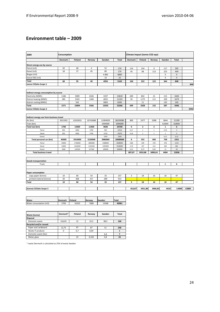## **Environment table – 2009**

| 2009                                     | Consumption    |          |                |          | Climate impact (tonne CO2 eqv) |                |              |              |              |                         |       |
|------------------------------------------|----------------|----------|----------------|----------|--------------------------------|----------------|--------------|--------------|--------------|-------------------------|-------|
|                                          | <b>Denmark</b> | Finland  | Norway         | Sweden   | <b>Total</b>                   | <b>Denmark</b> | Finland      | Norway       | Sweden       | <b>Total</b>            |       |
| Direct energy use by source              |                |          |                |          |                                |                |              |              |              |                         |       |
| Petrol (m3)                              | 50             | 68       | $\overline{4}$ | 52       | 174                            | 114            | 154          | 9            | 117          | 395                     |       |
| Diesel (m3)                              | 18             | 27       | 45             | 89       | 179                            | 45             | 68           | 113          | 223          | 449                     |       |
| Biogas (m3)                              |                |          |                | 4 8 0 0  | 4800                           |                |              |              | 0            | $\mathsf 0$             |       |
| Etanol E85 (m3)                          |                |          |                | 10       | 10                             |                |              |              | 4            | $\overline{4}$          |       |
| Total                                    | 68             | 95       | 49             | 4950     | 5163                           | 160            | 222          | 122          | 344          | 848                     |       |
| tonne CO2ekv Scope 1                     |                |          |                |          |                                |                |              |              |              |                         | 848   |
|                                          |                |          |                |          |                                |                |              |              |              |                         |       |
| Indirect energy consumption by source    |                |          |                |          |                                |                |              |              |              |                         |       |
| Electricity (MWh)                        | 1186           | 5009     | 4226           | 3197     | 13618                          | 649            | 842          | 21           | 115          | 1626                    |       |
| District heating (MWh)                   | 385            | 5343     | 1340           | 4035     | 11103                          | 50             | 1175         | 111          | 338          | 1674                    |       |
| District cooling (MWh)                   |                | 542      |                | 5803     | 6345                           |                | 11           |              | 135          | 145                     |       |
| Total                                    | 1571           | 10894    | 5566           | 13035    | 31066                          | 699            | 2028         | 132          | 587          | 3446                    |       |
| tonne CO2ekv Scope 2                     |                |          |                |          |                                |                |              |              |              |                         | 3446  |
|                                          |                |          |                |          |                                |                |              |              |              |                         |       |
| Indirect energy use from business travel |                |          |                |          |                                |                |              |              |              |                         |       |
| Air (km)                                 | 2613302        | 11033031 | 10742688       | 11904059 | 36293080                       | 800            | 3377         | 3288         | 3644         | 11109                   |       |
| Train (km)                               |                |          |                | 1094000  | 1094000                        |                |              |              | 0,0044       | 0,0044                  |       |
| Total taxi (km)                          | 1700           | 12000    | 11400          | 9600     | 34700                          | 0              | 2            | $\mathbf{z}$ | $\mathbf{1}$ | 6                       |       |
| Petrol                                   | 850            | 6000     | 5700           | 960      | 13510                          | 0,17           | $\mathbf{1}$ | $\mathbf{1}$ | 0, 19        | $\overline{\mathbf{3}}$ |       |
| Diesel                                   | 850            | 6000     | 5700           | 6720     | 19270                          | 0,16           | $\,$ 1 $\,$  | $\,1\,$      | $1\,$        | $\sqrt{4}$              |       |
| Etanol                                   |                |          |                | 1920     | 1920                           |                |              |              | 0,12         | 0,12                    |       |
| Total personal car (km)                  | 40000          | 2910000  | 3150000        | 3980000  | 10080000                       | 8              | 555          | 600          | 758          | 1921                    |       |
| Petrol                                   | 24000          | 1746000  | 1890000        | 2388000  | 6048000                        | 4,80           | 349          | 378          | 478          | 1210                    |       |
| Diesel                                   | 14000          | 1018500  | 1102500        | 1393000  | 3528000                        | 2,70           | 197          | 213          | 269          | 681                     |       |
| Etanol                                   | 2000           | 145500   | 157500         | 199000   | 504000                         | 0,12           | 8,73         | 9,45         | 12           | 30                      |       |
| <b>Total business travel</b>             |                |          |                |          |                                | 807,87         | 3933,88      | 3890,63      | 4404         | 13036                   |       |
|                                          |                |          |                |          |                                |                |              |              |              |                         |       |
| <b>Goods transportation</b>              |                |          |                |          |                                |                |              |              |              |                         |       |
| Truck                                    |                |          |                |          |                                |                |              |              | 6            | 6                       |       |
|                                          |                |          |                |          |                                |                |              |              |              |                         |       |
| Paper consumption                        |                |          |                |          |                                |                |              |              |              |                         |       |
| copy paper (tonne)                       | 10             | 60       | 54             | 33       | 157                            | 3              | 18           | 16           | 10           | 47                      |       |
| printed material (tonne)                 | 39             | 368      | 217            | 289      | 913                            |                |              |              |              |                         |       |
| Total                                    | 10             | 60       | 54             | 33       | 157                            | 3              | 18           | 16           | 10           | 47                      |       |
|                                          |                |          |                |          |                                |                |              |              |              |                         |       |
| (tonne) CO2ekv Scope 3                   |                |          |                |          |                                | 810,87         | 3951,88      | 3906,83      | 4419         | 13089                   | 13089 |

| <b>Water</b>           | <b>Denmark</b> | <b>IFinland</b> | <b>Norway</b> | <b>Sweden</b> | Total |
|------------------------|----------------|-----------------|---------------|---------------|-------|
| Water consumption (m3) | 2700           | 16333           | 7680          | 13368         | 40081 |

| Waste (tonne)          | Denmark* | <b>Finland</b> | Norway | Sweden | <b>Total</b> |
|------------------------|----------|----------------|--------|--------|--------------|
| <b>Disposal</b>        |          |                |        |        |              |
| Domestic waste         | 24,625   | 12             | 32,5   | 98,5   | 168          |
| Recycled and/or reused |          |                |        |        |              |
| Paper and cardboard    | 12,75    | 97             | 87     | 51     | 248          |
| Waste IT products      | $\Omega$ | 0,7            | 0,09   |        |              |
| Domestic waste (bio)   |          |                |        | 6,8    |              |
| Metal, glass           |          | 23             | 0,165  | 0,8    | 24           |

\* waste Denmark is calculated as 25% of waste Sweden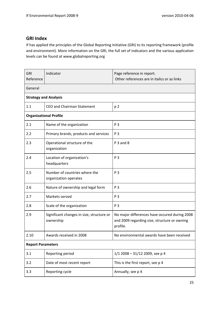## <span id="page-25-0"></span>**GRI Index**

If has applied the principles of the Global Reporting Initiative (GRI) to its reporting framework (profile and environment). More information on the GRI, the full set of indicators and the various application levels can be found at [www.globalreporting.org](http://www.globalreporting.org/)

| GRI<br>Reference             | Indicator                                              | Page reference in report.<br>Other references are in italics or as links                                  |  |  |  |  |
|------------------------------|--------------------------------------------------------|-----------------------------------------------------------------------------------------------------------|--|--|--|--|
| General                      |                                                        |                                                                                                           |  |  |  |  |
| <b>Strategy and Analysis</b> |                                                        |                                                                                                           |  |  |  |  |
| 1.1                          | <b>CEO and Chairman Statement</b>                      | p <sub>2</sub>                                                                                            |  |  |  |  |
|                              | <b>Organizational Profile</b>                          |                                                                                                           |  |  |  |  |
| 2.1                          | Name of the organization                               | P 3                                                                                                       |  |  |  |  |
| 2.2                          | Primary brands, products and services                  | P 3                                                                                                       |  |  |  |  |
| 2.3                          | Operational structure of the<br>organization           | P 3 and 8                                                                                                 |  |  |  |  |
| 2.4                          | Location of organization's<br>headquarters             | P 3                                                                                                       |  |  |  |  |
| 2.5                          | Number of countries where the<br>organization operates | P 3                                                                                                       |  |  |  |  |
| 2.6                          | Nature of ownership and legal form                     | P 3                                                                                                       |  |  |  |  |
| 2.7                          | Markets served                                         | P 3                                                                                                       |  |  |  |  |
| 2.8                          | Scale of the organization                              | P 3                                                                                                       |  |  |  |  |
| 2.9                          | Significant changes in size, structure or<br>ownership | No major differences have occured during 2008<br>and 2009 regarding size, structure or owning<br>profile. |  |  |  |  |
| 2.10                         | Awards received in 2008                                | No environmental awards have been received                                                                |  |  |  |  |
| <b>Report Parameters</b>     |                                                        |                                                                                                           |  |  |  |  |
| 3.1                          | Reporting period                                       | 1/1 2008 - 31/12 2009, see p 4                                                                            |  |  |  |  |
| 3.2                          | Date of most recent report                             | This is the first report, see p 4                                                                         |  |  |  |  |
| 3.3                          | Reporting cycle                                        | Annually, see p 4                                                                                         |  |  |  |  |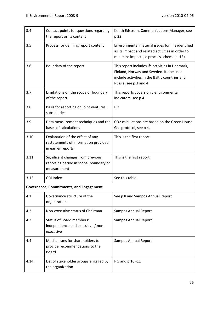| 3.4  | Contact points for questions regarding<br>the report or its content                            | Kenth Edstrom, Communications Manager, see<br>p 22                                                                                                                    |  |  |
|------|------------------------------------------------------------------------------------------------|-----------------------------------------------------------------------------------------------------------------------------------------------------------------------|--|--|
| 3.5  | Process for defining report content                                                            | Environmental material issues for If is identified<br>as its impact and related activities in order to<br>minimize impact (se process scheme p. 13).                  |  |  |
| 3.6  | Boundary of the report                                                                         | This report includes Ifs activities in Denmark,<br>Finland, Norway and Sweden. It does not<br>include activities in the Baltic countries and<br>Russia, see p 3 and 4 |  |  |
| 3.7  | Limitations on the scope or boundary<br>of the report                                          | This reports covers only environmental<br>indicators, see p 4                                                                                                         |  |  |
| 3.8  | Basis for reporting on joint ventures,<br>subsidiaries                                         | P 3                                                                                                                                                                   |  |  |
| 3.9  | Data measurement techniques and the<br>bases of calculations                                   | CO2 calculations are based on the Green House<br>Gas protocol, see p 4.                                                                                               |  |  |
| 3.10 | Explanation of the effect of any<br>restatements of information provided<br>in earlier reports | This is the first report                                                                                                                                              |  |  |
| 3.11 | Significant changes from previous<br>reporting period in scope, boundary or<br>measurement     | This is the first report                                                                                                                                              |  |  |
| 3.12 | <b>GRI Index</b>                                                                               | See this table                                                                                                                                                        |  |  |
|      | Governance, Commitments, and Engagement                                                        |                                                                                                                                                                       |  |  |
| 4.1  | Governance structure of the<br>organization                                                    | See p 8 and Sampos Annual Report                                                                                                                                      |  |  |
| 4.2  | Non-executive status of Chairman                                                               | <b>Sampos Annual Report</b>                                                                                                                                           |  |  |
| 4.3  | <b>Status of Board members:</b><br>independence and executive / non-<br>executive              | <b>Sampos Annual Report</b>                                                                                                                                           |  |  |
| 4.4  | Mechanisms for shareholders to<br>provide recommendations to the<br><b>Board</b>               | Sampos Annual Report                                                                                                                                                  |  |  |
| 4.14 | List of stakeholder groups engaged by<br>the organization                                      | P 5 and p 10 -11                                                                                                                                                      |  |  |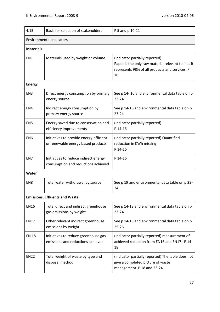| 4.15                                  | Basis for selection of stakeholders                                           | P 5 and p 10-11                                                                                                                               |  |  |  |
|---------------------------------------|-------------------------------------------------------------------------------|-----------------------------------------------------------------------------------------------------------------------------------------------|--|--|--|
| <b>Environmental Indicators</b>       |                                                                               |                                                                                                                                               |  |  |  |
| <b>Materials</b>                      |                                                                               |                                                                                                                                               |  |  |  |
| EN1                                   | Materials used by weight or volume                                            | (indicator partially reported)<br>Paper is the only raw material relevant to If as it<br>represents 98% of all products and services, P<br>18 |  |  |  |
| <b>Energy</b>                         |                                                                               |                                                                                                                                               |  |  |  |
| EN <sub>3</sub>                       | Direct energy consumption by primary<br>energy source                         | See p 14-16 and environmental data table on p<br>$23 - 24$                                                                                    |  |  |  |
| EN4                                   | Indirect energy consumption by<br>primary energy source                       | See p 14-16 and environmental data table on p<br>$23 - 24$                                                                                    |  |  |  |
| EN <sub>5</sub>                       | Energy saved due to conservation and<br>efficiency improvements               | (indicator partially reported)<br>P 14-16                                                                                                     |  |  |  |
| EN <sub>6</sub>                       | Initiatives to provide energy-efficient<br>or renewable energy based products | (indicator partially reported) Quantified<br>reduction in KWh missing<br>P 14-16                                                              |  |  |  |
| EN7                                   | Initiatives to reduce indirect energy<br>consumption and reductions achieved  | P 14-16                                                                                                                                       |  |  |  |
| Water                                 |                                                                               |                                                                                                                                               |  |  |  |
| EN <sub>8</sub>                       | Total water withdrawal by source                                              | See p 19 and environmental data table on p 23-<br>24                                                                                          |  |  |  |
| <b>Emissions, Effluents and Waste</b> |                                                                               |                                                                                                                                               |  |  |  |
| <b>EN16</b>                           | Total direct and indirect greenhouse<br>gas emissions by weight               | See p 14-18 and environmental data table on p<br>$23 - 24$                                                                                    |  |  |  |
| <b>EN17</b>                           | Other relevant indirect greenhouse<br>emissions by weight                     | See p 14-18 and environmental data table on p<br>$25 - 26$                                                                                    |  |  |  |
| <b>EN 18</b>                          | Initiatives to reduce greenhouse gas<br>emissions and reductions achieved     | (indicator partially reported) measurement of<br>achieved reduction from EN16 and EN17. P 14-<br>18                                           |  |  |  |
| <b>EN22</b>                           | Total weight of waste by type and<br>disposal method                          | (indicator partially reported) The table does not<br>give a completed picture of waste<br>management. P 18 and 23-24                          |  |  |  |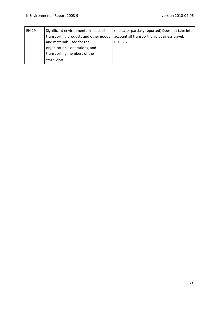| <b>EN 29</b> | Significant environmental impact of<br>transporting products and other goods                             | (indicator partially reported) Does not take into<br>account all transport, only business travel. |
|--------------|----------------------------------------------------------------------------------------------------------|---------------------------------------------------------------------------------------------------|
|              | and materials used for the<br>organization's operations, and<br>transporting members of the<br>workforce | P 15-16                                                                                           |